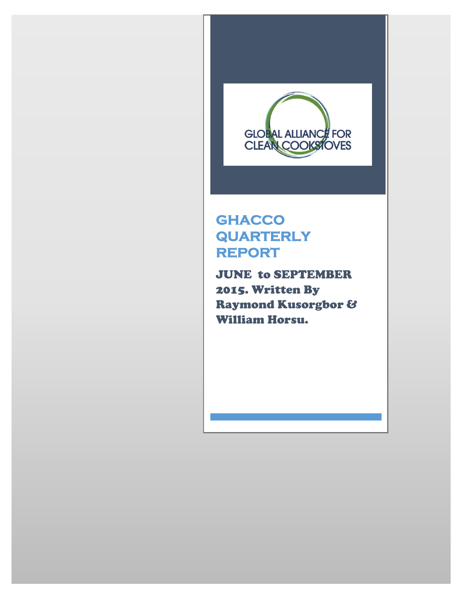

# **GHACCO QUARTERLY REPORT**

JUNE to SEPTEMBER 2015. Written By Raymond Kusorgbor & William Horsu.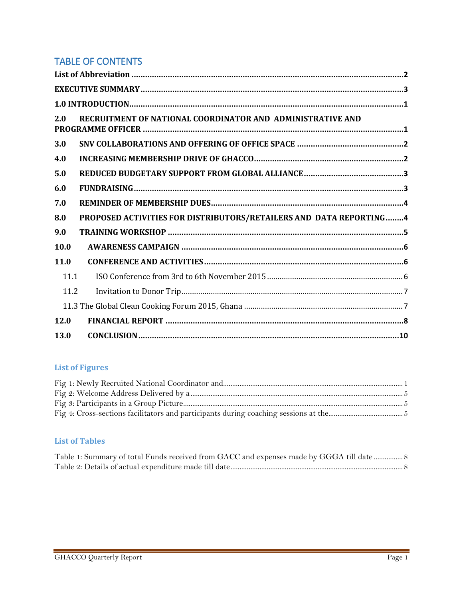#### TABLE OF CONTENTS

| 2.0  | RECRUITMENT OF NATIONAL COORDINATOR AND ADMINISTRATIVE AND         |
|------|--------------------------------------------------------------------|
| 3.0  |                                                                    |
| 4.0  |                                                                    |
| 5.0  |                                                                    |
| 6.0  |                                                                    |
| 7.0  |                                                                    |
| 8.0  | PROPOSED ACTIVITIES FOR DISTRIBUTORS/RETAILERS AND DATA REPORTING4 |
| 9.0  |                                                                    |
| 10.0 |                                                                    |
| 11.0 |                                                                    |
| 11.1 |                                                                    |
| 11.2 |                                                                    |
|      |                                                                    |
| 12.0 |                                                                    |
| 13.0 | $CONCLUSION 10$                                                    |

#### **List of Figures**

| Fig 4: Cross-sections facilitators and participants during coaching sessions at the measurements of 5 |  |
|-------------------------------------------------------------------------------------------------------|--|

#### **List of Tables**

| Table 1: Summary of total Funds received from GACC and expenses made by GGGA till date  8 |  |
|-------------------------------------------------------------------------------------------|--|
|                                                                                           |  |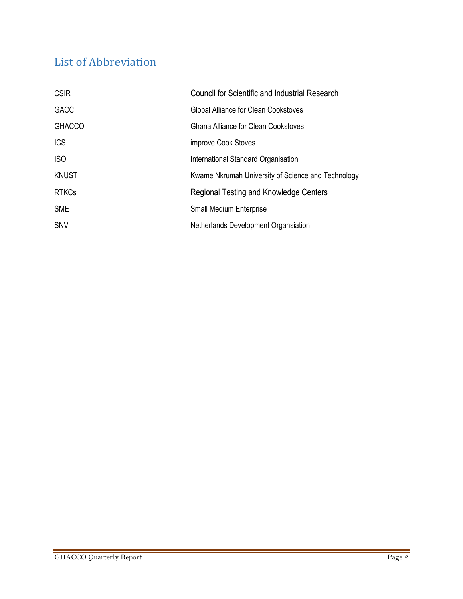# <span id="page-2-0"></span>List of Abbreviation

| <b>CSIR</b>   | <b>Council for Scientific and Industrial Research</b> |
|---------------|-------------------------------------------------------|
| <b>GACC</b>   | Global Alliance for Clean Cookstoves                  |
| <b>GHACCO</b> | Ghana Alliance for Clean Cookstoves                   |
| <b>ICS</b>    | improve Cook Stoves                                   |
| <b>ISO</b>    | International Standard Organisation                   |
| <b>KNUST</b>  | Kwame Nkrumah University of Science and Technology    |
| <b>RTKCs</b>  | Regional Testing and Knowledge Centers                |
| <b>SME</b>    | <b>Small Medium Enterprise</b>                        |
| <b>SNV</b>    | Netherlands Development Organsiation                  |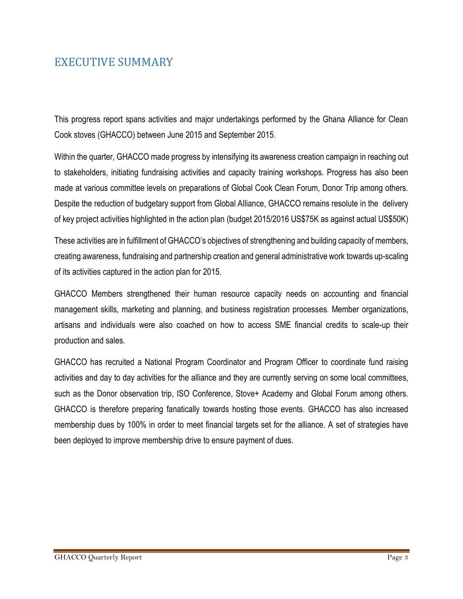### <span id="page-3-0"></span>EXECUTIVE SUMMARY

This progress report spans activities and major undertakings performed by the Ghana Alliance for Clean Cook stoves (GHACCO) between June 2015 and September 2015.

Within the quarter, GHACCO made progress by intensifying its awareness creation campaign in reaching out to stakeholders, initiating fundraising activities and capacity training workshops. Progress has also been made at various committee levels on preparations of Global Cook Clean Forum, Donor Trip among others. Despite the reduction of budgetary support from Global Alliance, GHACCO remains resolute in the delivery of key project activities highlighted in the action plan (budget 2015/2016 US\$75K as against actual US\$50K)

These activities are in fulfillment of GHACCO's objectives of strengthening and building capacity of members, creating awareness, fundraising and partnership creation and general administrative work towards up-scaling of its activities captured in the action plan for 2015.

GHACCO Members strengthened their human resource capacity needs on accounting and financial management skills, marketing and planning, and business registration processes. Member organizations, artisans and individuals were also coached on how to access SME financial credits to scale-up their production and sales.

GHACCO has recruited a National Program Coordinator and Program Officer to coordinate fund raising activities and day to day activities for the alliance and they are currently serving on some local committees, such as the Donor observation trip, ISO Conference, Stove+ Academy and Global Forum among others. GHACCO is therefore preparing fanatically towards hosting those events. GHACCO has also increased membership dues by 100% in order to meet financial targets set for the alliance. A set of strategies have been deployed to improve membership drive to ensure payment of dues.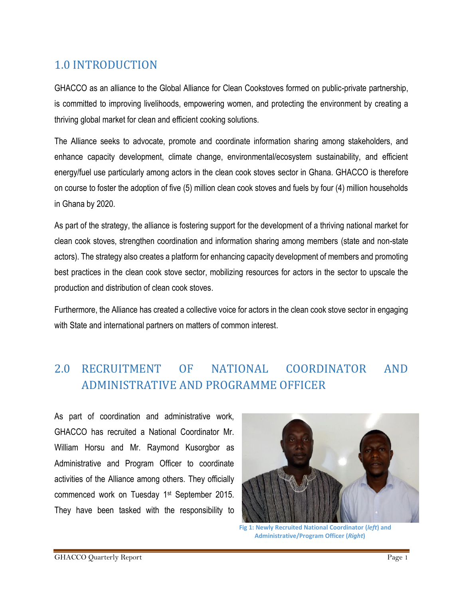## <span id="page-4-0"></span>1.0 INTRODUCTION

GHACCO as an alliance to the Global Alliance for Clean Cookstoves formed on public-private partnership, is committed to improving livelihoods, empowering women, and protecting the environment by creating a thriving global market for clean and efficient cooking solutions.

The Alliance seeks to advocate, promote and coordinate information sharing among stakeholders, and enhance capacity development, climate change, environmental/ecosystem sustainability, and efficient energy/fuel use particularly among actors in the clean cook stoves sector in Ghana. GHACCO is therefore on course to foster the adoption of five (5) million clean cook stoves and fuels by four (4) million households in Ghana by 2020.

As part of the strategy, the alliance is fostering support for the development of a thriving national market for clean cook stoves, strengthen coordination and information sharing among members (state and non-state actors). The strategy also creates a platform for enhancing capacity development of members and promoting best practices in the clean cook stove sector, mobilizing resources for actors in the sector to upscale the production and distribution of clean cook stoves.

Furthermore, the Alliance has created a collective voice for actors in the clean cook stove sector in engaging with State and international partners on matters of common interest.

## <span id="page-4-1"></span>2.0 RECRUITMENT OF NATIONAL COORDINATOR AND ADMINISTRATIVE AND PROGRAMME OFFICER

As part of coordination and administrative work, GHACCO has recruited a National Coordinator Mr. William Horsu and Mr. Raymond Kusorgbor as Administrative and Program Officer to coordinate activities of the Alliance among others. They officially commenced work on Tuesday 1st September 2015. They have been tasked with the responsibility to



**Fig 1: Newly Recruited National Coordinator (***left***) and Administrative/Program Officer (***Right***)**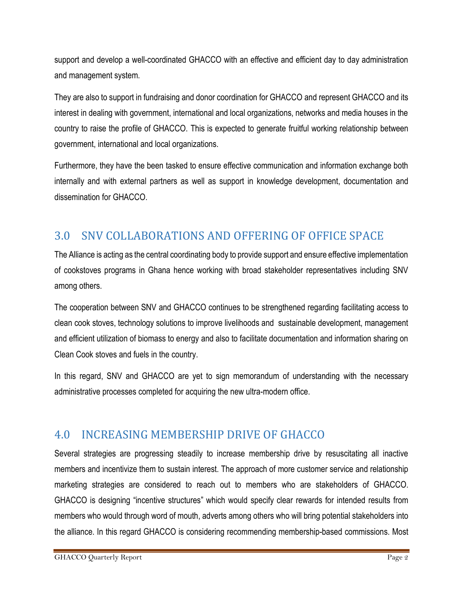support and develop a well-coordinated GHACCO with an effective and efficient day to day administration and management system.

They are also to support in fundraising and donor coordination for GHACCO and represent GHACCO and its interest in dealing with government, international and local organizations, networks and media houses in the country to raise the profile of GHACCO. This is expected to generate fruitful working relationship between government, international and local organizations.

Furthermore, they have the been tasked to ensure effective communication and information exchange both internally and with external partners as well as support in knowledge development, documentation and dissemination for GHACCO.

### <span id="page-5-0"></span>3.0 SNV COLLABORATIONS AND OFFERING OF OFFICE SPACE

The Alliance is acting as the central coordinating body to provide support and ensure effective implementation of cookstoves programs in Ghana hence working with broad stakeholder representatives including SNV among others.

The cooperation between SNV and GHACCO continues to be strengthened regarding facilitating access to clean cook stoves, technology solutions to improve livelihoods and sustainable development, management and efficient utilization of biomass to energy and also to facilitate documentation and information sharing on Clean Cook stoves and fuels in the country.

In this regard, SNV and GHACCO are yet to sign memorandum of understanding with the necessary administrative processes completed for acquiring the new ultra-modern office.

### <span id="page-5-1"></span>4.0 INCREASING MEMBERSHIP DRIVE OF GHACCO

Several strategies are progressing steadily to increase membership drive by resuscitating all inactive members and incentivize them to sustain interest. The approach of more customer service and relationship marketing strategies are considered to reach out to members who are stakeholders of GHACCO. GHACCO is designing "incentive structures" which would specify clear rewards for intended results from members who would through word of mouth, adverts among others who will bring potential stakeholders into the alliance. In this regard GHACCO is considering recommending membership-based commissions. Most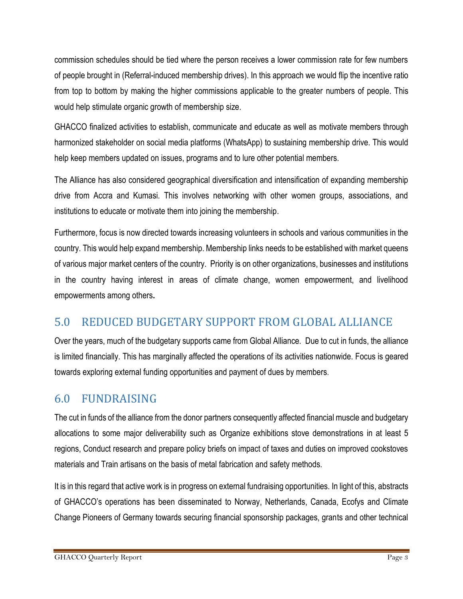commission schedules should be tied where the person receives a lower commission rate for few numbers of people brought in (Referral-induced membership drives). In this approach we would flip the incentive ratio from top to bottom by making the higher commissions applicable to the greater numbers of people. This would help stimulate organic growth of membership size.

GHACCO finalized activities to establish, communicate and educate as well as motivate members through harmonized stakeholder on social media platforms (WhatsApp) to sustaining membership drive. This would help keep members updated on issues, programs and to lure other potential members.

The Alliance has also considered geographical diversification and intensification of expanding membership drive from Accra and Kumasi. This involves networking with other women groups, associations, and institutions to educate or motivate them into joining the membership.

Furthermore, focus is now directed towards increasing volunteers in schools and various communities in the country. This would help expand membership. Membership links needs to be established with market queens of various major market centers of the country. Priority is on other organizations, businesses and institutions in the country having interest in areas of climate change, women empowerment, and livelihood empowerments among others**.** 

### <span id="page-6-0"></span>5.0 REDUCED BUDGETARY SUPPORT FROM GLOBAL ALLIANCE

Over the years, much of the budgetary supports came from Global Alliance. Due to cut in funds, the alliance is limited financially. This has marginally affected the operations of its activities nationwide. Focus is geared towards exploring external funding opportunities and payment of dues by members.

### <span id="page-6-1"></span>6.0 FUNDRAISING

The cut in funds of the alliance from the donor partners consequently affected financial muscle and budgetary allocations to some major deliverability such as Organize exhibitions stove demonstrations in at least 5 regions, Conduct research and prepare policy briefs on impact of taxes and duties on improved cookstoves materials and Train artisans on the basis of metal fabrication and safety methods.

It is in this regard that active work is in progress on external fundraising opportunities. In light of this, abstracts of GHACCO's operations has been disseminated to Norway, Netherlands, Canada, Ecofys and Climate Change Pioneers of Germany towards securing financial sponsorship packages, grants and other technical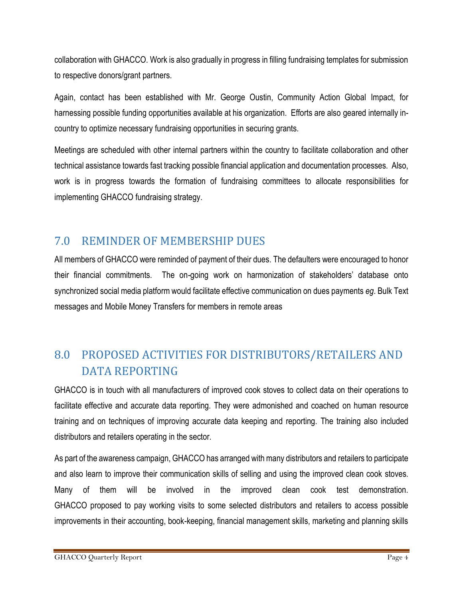collaboration with GHACCO. Work is also gradually in progress in filling fundraising templates for submission to respective donors/grant partners.

Again, contact has been established with Mr. George Oustin, Community Action Global Impact, for harnessing possible funding opportunities available at his organization. Efforts are also geared internally incountry to optimize necessary fundraising opportunities in securing grants.

Meetings are scheduled with other internal partners within the country to facilitate collaboration and other technical assistance towards fast tracking possible financial application and documentation processes. Also, work is in progress towards the formation of fundraising committees to allocate responsibilities for implementing GHACCO fundraising strategy.

### <span id="page-7-0"></span>7.0 REMINDER OF MEMBERSHIP DUES

All members of GHACCO were reminded of payment of their dues. The defaulters were encouraged to honor their financial commitments. The on-going work on harmonization of stakeholders' database onto synchronized social media platform would facilitate effective communication on dues payments *eg*. Bulk Text messages and Mobile Money Transfers for members in remote areas

## <span id="page-7-1"></span>8.0 PROPOSED ACTIVITIES FOR DISTRIBUTORS/RETAILERS AND DATA REPORTING

GHACCO is in touch with all manufacturers of improved cook stoves to collect data on their operations to facilitate effective and accurate data reporting. They were admonished and coached on human resource training and on techniques of improving accurate data keeping and reporting. The training also included distributors and retailers operating in the sector.

As part of the awareness campaign, GHACCO has arranged with many distributors and retailers to participate and also learn to improve their communication skills of selling and using the improved clean cook stoves. Many of them will be involved in the improved clean cook test demonstration. GHACCO proposed to pay working visits to some selected distributors and retailers to access possible improvements in their accounting, book-keeping, financial management skills, marketing and planning skills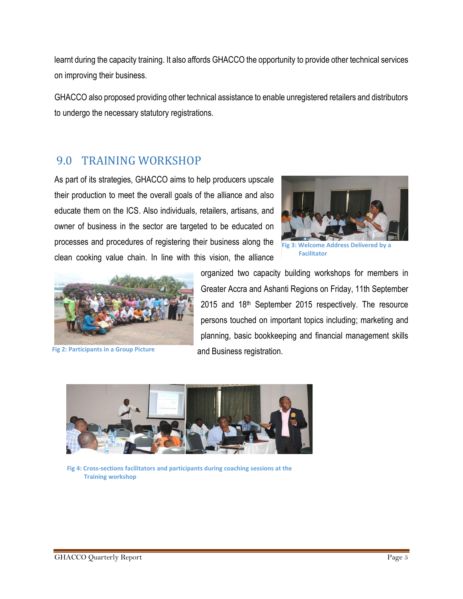learnt during the capacity training. It also affords GHACCO the opportunity to provide other technical services on improving their business.

GHACCO also proposed providing other technical assistance to enable unregistered retailers and distributors to undergo the necessary statutory registrations.

#### <span id="page-8-0"></span>9.0 TRAINING WORKSHOP

As part of its strategies, GHACCO aims to help producers upscale their production to meet the overall goals of the alliance and also educate them on the ICS. Also individuals, retailers, artisans, and owner of business in the sector are targeted to be educated on processes and procedures of registering their business along the clean cooking value chain. In line with this vision, the alliance



**Fig 2: Participants in a Group Picture**



 **Facilitator**

organized two capacity building workshops for members in Greater Accra and Ashanti Regions on Friday, 11th September 2015 and 18th September 2015 respectively. The resource persons touched on important topics including; marketing and planning, basic bookkeeping and financial management skills and Business registration.



**Fig 4: Cross-sections facilitators and participants during coaching sessions at the Training workshop**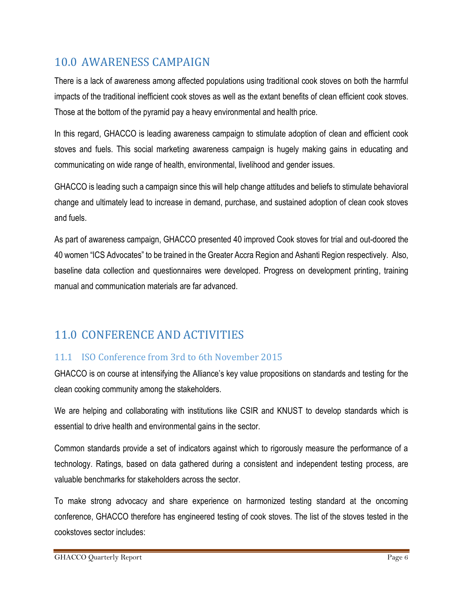### <span id="page-9-0"></span>10.0 AWARENESS CAMPAIGN

There is a lack of awareness among affected populations using traditional cook stoves on both the harmful impacts of the traditional inefficient cook stoves as well as the extant benefits of clean efficient cook stoves. Those at the bottom of the pyramid pay a heavy environmental and health price.

In this regard, GHACCO is leading awareness campaign to stimulate adoption of clean and efficient cook stoves and fuels. This social marketing awareness campaign is hugely making gains in educating and communicating on wide range of health, environmental, livelihood and gender issues.

GHACCO is leading such a campaign since this will help change attitudes and beliefs to stimulate behavioral change and ultimately lead to increase in demand, purchase, and sustained adoption of clean cook stoves and fuels.

As part of awareness campaign, GHACCO presented 40 improved Cook stoves for trial and out-doored the 40 women "ICS Advocates" to be trained in the Greater Accra Region and Ashanti Region respectively. Also, baseline data collection and questionnaires were developed. Progress on development printing, training manual and communication materials are far advanced.

## <span id="page-9-1"></span>11.0 CONFERENCE AND ACTIVITIES

#### <span id="page-9-2"></span>11.1 ISO Conference from 3rd to 6th November 2015

GHACCO is on course at intensifying the Alliance's key value propositions on standards and testing for the clean cooking community among the stakeholders.

We are helping and collaborating with institutions like CSIR and KNUST to develop standards which is essential to drive health and environmental gains in the sector.

Common standards provide a set of indicators against which to rigorously measure the performance of a technology. Ratings, based on data gathered during a consistent and independent testing process, are valuable benchmarks for stakeholders across the sector.

To make strong advocacy and share experience on harmonized testing standard at the oncoming conference, GHACCO therefore has engineered testing of cook stoves. The list of the stoves tested in the cookstoves sector includes: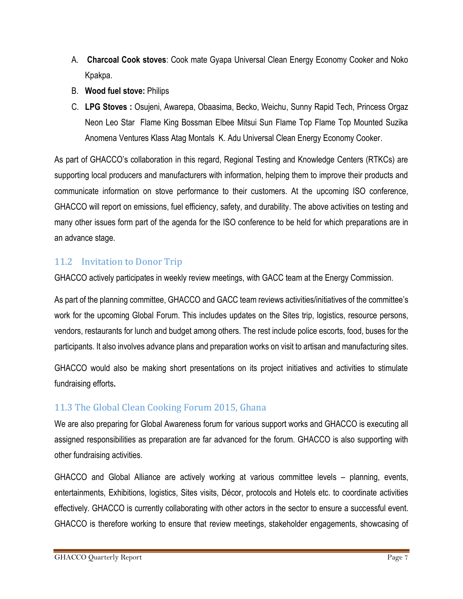- A. **Charcoal Cook stoves**: Cook mate Gyapa Universal Clean Energy Economy Cooker and Noko Kpakpa.
- B. **Wood fuel stove:** Philips
- C. **LPG Stoves :** Osujeni, Awarepa, Obaasima, Becko, Weichu, Sunny Rapid Tech, Princess Orgaz Neon Leo Star Flame King Bossman Elbee Mitsui Sun Flame Top Flame Top Mounted Suzika Anomena Ventures Klass Atag Montals K. Adu Universal Clean Energy Economy Cooker.

As part of GHACCO's collaboration in this regard, Regional Testing and Knowledge Centers (RTKCs) are supporting local producers and manufacturers with information, helping them to improve their products and communicate information on stove performance to their customers. At the upcoming ISO conference, GHACCO will report on emissions, fuel efficiency, safety, and durability. The above activities on testing and many other issues form part of the agenda for the ISO conference to be held for which preparations are in an advance stage.

#### <span id="page-10-0"></span>11.2 Invitation to Donor Trip

GHACCO actively participates in weekly review meetings, with GACC team at the Energy Commission.

As part of the planning committee, GHACCO and GACC team reviews activities/initiatives of the committee's work for the upcoming Global Forum. This includes updates on the Sites trip, logistics, resource persons, vendors, restaurants for lunch and budget among others. The rest include police escorts, food, buses for the participants. It also involves advance plans and preparation works on visit to artisan and manufacturing sites.

GHACCO would also be making short presentations on its project initiatives and activities to stimulate fundraising efforts**.** 

#### <span id="page-10-1"></span>11.3 The Global Clean Cooking Forum 2015, Ghana

We are also preparing for Global Awareness forum for various support works and GHACCO is executing all assigned responsibilities as preparation are far advanced for the forum. GHACCO is also supporting with other fundraising activities.

GHACCO and Global Alliance are actively working at various committee levels – planning, events, entertainments, Exhibitions, logistics, Sites visits, Décor, protocols and Hotels etc. to coordinate activities effectively. GHACCO is currently collaborating with other actors in the sector to ensure a successful event. GHACCO is therefore working to ensure that review meetings, stakeholder engagements, showcasing of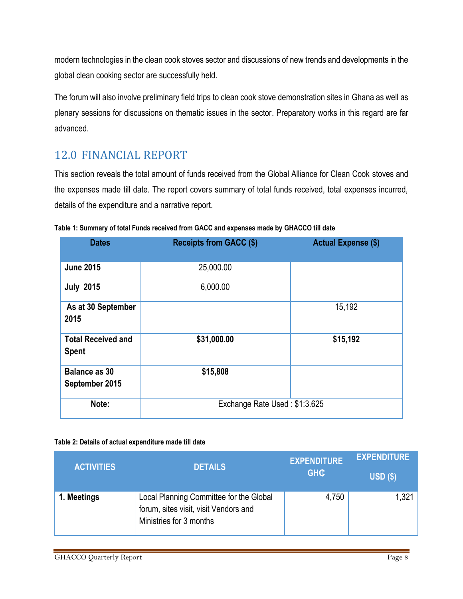modern technologies in the clean cook stoves sector and discussions of new trends and developments in the global clean cooking sector are successfully held.

The forum will also involve preliminary field trips to clean cook stove demonstration sites in Ghana as well as plenary sessions for discussions on thematic issues in the sector. Preparatory works in this regard are far advanced.

## <span id="page-11-0"></span>12.0 FINANCIAL REPORT

This section reveals the total amount of funds received from the Global Alliance for Clean Cook stoves and the expenses made till date. The report covers summary of total funds received, total expenses incurred, details of the expenditure and a narrative report.

| <b>Dates</b>                              | <b>Receipts from GACC (\$)</b> | <b>Actual Expense (\$)</b> |  |
|-------------------------------------------|--------------------------------|----------------------------|--|
| <b>June 2015</b>                          | 25,000.00                      |                            |  |
| <b>July 2015</b>                          | 6,000.00                       |                            |  |
| As at 30 September<br>2015                |                                | 15,192                     |  |
| <b>Total Received and</b><br><b>Spent</b> | \$31,000.00                    | \$15,192                   |  |
| <b>Balance as 30</b><br>September 2015    | \$15,808                       |                            |  |
| Note:                                     | Exchange Rate Used: \$1:3.625  |                            |  |

<span id="page-11-1"></span>**Table 1: Summary of total Funds received from GACC and expenses made by GHACCO till date**

#### <span id="page-11-2"></span>**Table 2: Details of actual expenditure made till date**

| <b>ACTIVITIES</b> | <b>DETAILS</b>                                                                                              | <b>EXPENDITURE</b><br><b>GHC</b> | <b>EXPENDITURE</b><br>USD(S) |
|-------------------|-------------------------------------------------------------------------------------------------------------|----------------------------------|------------------------------|
| 1. Meetings       | Local Planning Committee for the Global<br>forum, sites visit, visit Vendors and<br>Ministries for 3 months | 4,750                            | 1,321                        |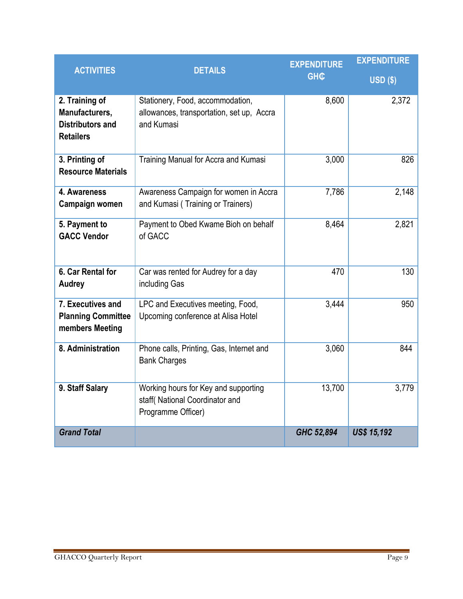| <b>ACTIVITIES</b>                                                               | <b>DETAILS</b>                                                                               | <b>EXPENDITURE</b><br><b>GHC</b> | <b>EXPENDITURE</b><br>$USD($ \$) |
|---------------------------------------------------------------------------------|----------------------------------------------------------------------------------------------|----------------------------------|----------------------------------|
| 2. Training of<br>Manufacturers,<br><b>Distributors and</b><br><b>Retailers</b> | Stationery, Food, accommodation,<br>allowances, transportation, set up, Accra<br>and Kumasi  | 8,600                            | 2,372                            |
| 3. Printing of<br><b>Resource Materials</b>                                     | Training Manual for Accra and Kumasi                                                         | 3,000                            | 826                              |
| 4. Awareness<br>Campaign women                                                  | Awareness Campaign for women in Accra<br>and Kumasi (Training or Trainers)                   | 7,786                            | 2,148                            |
| 5. Payment to<br><b>GACC Vendor</b>                                             | Payment to Obed Kwame Bioh on behalf<br>of GACC                                              | 8,464                            | 2,821                            |
| 6. Car Rental for<br><b>Audrey</b>                                              | Car was rented for Audrey for a day<br>including Gas                                         | 470                              | 130                              |
| 7. Executives and<br><b>Planning Committee</b><br>members Meeting               | LPC and Executives meeting, Food,<br>Upcoming conference at Alisa Hotel                      | 3,444                            | 950                              |
| 8. Administration                                                               | Phone calls, Printing, Gas, Internet and<br><b>Bank Charges</b>                              | 3,060                            | 844                              |
| 9. Staff Salary                                                                 | Working hours for Key and supporting<br>staff(National Coordinator and<br>Programme Officer) | 13,700                           | 3,779                            |
| <b>Grand Total</b>                                                              |                                                                                              | GHC 52,894                       | <b>US\$ 15,192</b>               |